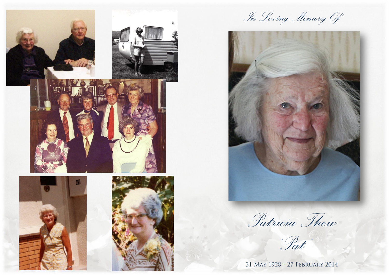

*In Loving Memory Of*



*Patricia Thew*

*'Pat'*

31 MAY 1928 - 27 FEBRUARY 2014